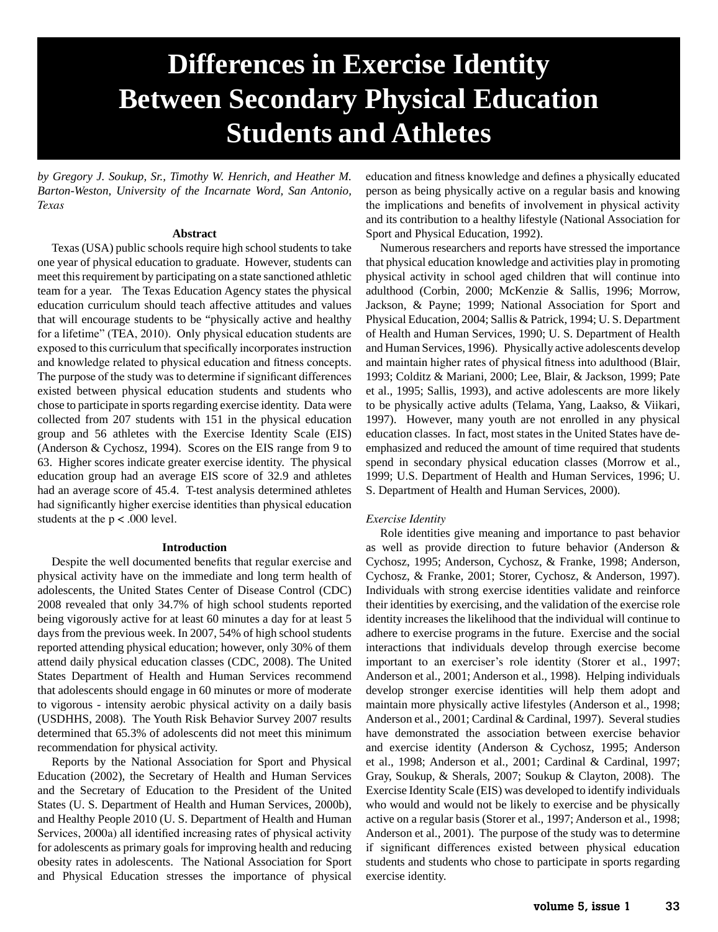# **Differences in Exercise Identity Between Secondary Physical Education Students and Athletes**

*by Gregory J. Soukup, Sr., Timothy W. Henrich, and Heather M. Barton-Weston, University of the Incarnate Word, San Antonio, Texas*

## **Abstract**

Texas (USA) public schools require high school students to take one year of physical education to graduate. However, students can meet this requirement by participating on a state sanctioned athletic team for a year. The Texas Education Agency states the physical education curriculum should teach affective attitudes and values that will encourage students to be "physically active and healthy for a lifetime" (TEA, 2010). Only physical education students are exposed to this curriculum that specifically incorporates instruction and knowledge related to physical education and fitness concepts. The purpose of the study was to determine if significant differences existed between physical education students and students who chose to participate in sports regarding exercise identity. Data were collected from 207 students with 151 in the physical education group and 56 athletes with the Exercise Identity Scale (EIS) (Anderson & Cychosz, 1994). Scores on the EIS range from 9 to 63. Higher scores indicate greater exercise identity. The physical education group had an average EIS score of 32.9 and athletes had an average score of 45.4. T-test analysis determined athletes had significantly higher exercise identities than physical education students at the  $p < .000$  level.

#### **Introduction**

Despite the well documented benefits that regular exercise and physical activity have on the immediate and long term health of adolescents, the United States Center of Disease Control (CDC) 2008 revealed that only 34.7% of high school students reported being vigorously active for at least 60 minutes a day for at least 5 days from the previous week. In 2007, 54% of high school students reported attending physical education; however, only 30% of them attend daily physical education classes (CDC, 2008). The United States Department of Health and Human Services recommend that adolescents should engage in 60 minutes or more of moderate to vigorous - intensity aerobic physical activity on a daily basis (USDHHS, 2008). The Youth Risk Behavior Survey 2007 results determined that 65.3% of adolescents did not meet this minimum recommendation for physical activity.

Reports by the National Association for Sport and Physical Education (2002), the Secretary of Health and Human Services and the Secretary of Education to the President of the United States (U. S. Department of Health and Human Services, 2000b), and Healthy People 2010 (U. S. Department of Health and Human Services, 2000a) all identified increasing rates of physical activity for adolescents as primary goals for improving health and reducing obesity rates in adolescents. The National Association for Sport and Physical Education stresses the importance of physical

education and fitness knowledge and defines a physically educated person as being physically active on a regular basis and knowing the implications and benefits of involvement in physical activity and its contribution to a healthy lifestyle (National Association for Sport and Physical Education, 1992).

Numerous researchers and reports have stressed the importance that physical education knowledge and activities play in promoting physical activity in school aged children that will continue into adulthood (Corbin, 2000; McKenzie & Sallis, 1996; Morrow, Jackson, & Payne; 1999; National Association for Sport and Physical Education, 2004; Sallis & Patrick, 1994; U. S. Department of Health and Human Services, 1990; U. S. Department of Health and Human Services, 1996). Physically active adolescents develop and maintain higher rates of physical fitness into adulthood (Blair, 1993; Colditz & Mariani, 2000; Lee, Blair, & Jackson, 1999; Pate et al., 1995; Sallis, 1993), and active adolescents are more likely to be physically active adults (Telama, Yang, Laakso, & Viikari, 1997). However, many youth are not enrolled in any physical education classes. In fact, most states in the United States have deemphasized and reduced the amount of time required that students spend in secondary physical education classes (Morrow et al., 1999; U.S. Department of Health and Human Services, 1996; U. S. Department of Health and Human Services, 2000).

### *Exercise Identity*

Role identities give meaning and importance to past behavior as well as provide direction to future behavior (Anderson & Cychosz, 1995; Anderson, Cychosz, & Franke, 1998; Anderson, Cychosz, & Franke, 2001; Storer, Cychosz, & Anderson, 1997). Individuals with strong exercise identities validate and reinforce their identities by exercising, and the validation of the exercise role identity increases the likelihood that the individual will continue to adhere to exercise programs in the future. Exercise and the social interactions that individuals develop through exercise become important to an exerciser's role identity (Storer et al., 1997; Anderson et al., 2001; Anderson et al., 1998). Helping individuals develop stronger exercise identities will help them adopt and maintain more physically active lifestyles (Anderson et al., 1998; Anderson et al., 2001; Cardinal & Cardinal, 1997). Several studies have demonstrated the association between exercise behavior and exercise identity (Anderson & Cychosz, 1995; Anderson et al., 1998; Anderson et al., 2001; Cardinal & Cardinal, 1997; Gray, Soukup, & Sherals, 2007; Soukup & Clayton, 2008). The Exercise Identity Scale (EIS) was developed to identify individuals who would and would not be likely to exercise and be physically active on a regular basis (Storer et al., 1997; Anderson et al., 1998; Anderson et al., 2001). The purpose of the study was to determine if significant differences existed between physical education students and students who chose to participate in sports regarding exercise identity.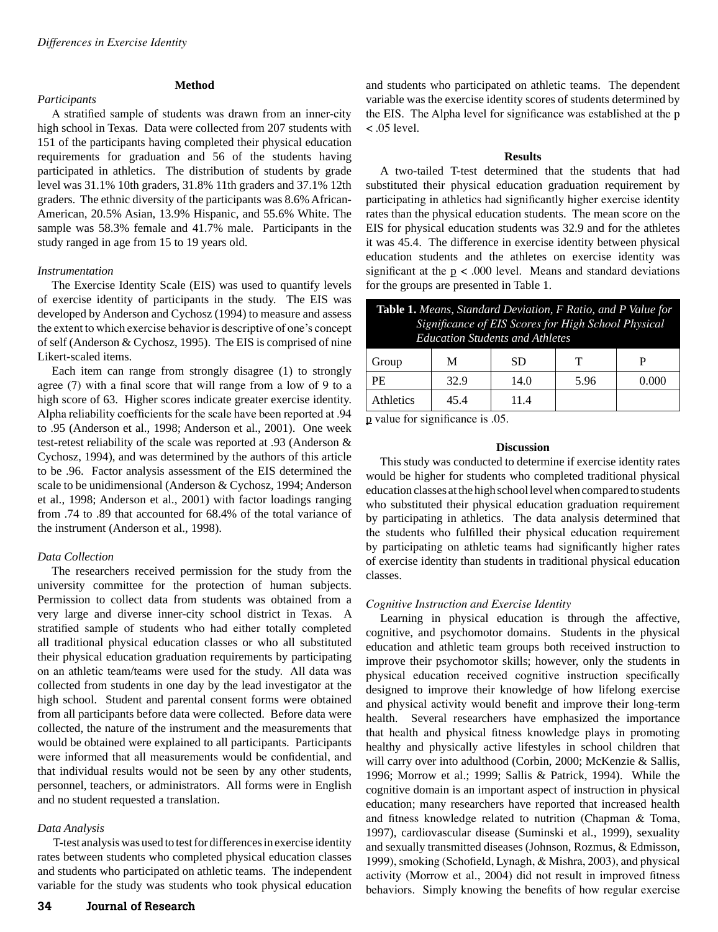## *Participants*

# **Method**

A stratified sample of students was drawn from an inner-city high school in Texas. Data were collected from 207 students with 151 of the participants having completed their physical education requirements for graduation and 56 of the students having participated in athletics. The distribution of students by grade level was 31.1% 10th graders, 31.8% 11th graders and 37.1% 12th graders. The ethnic diversity of the participants was 8.6% African-American, 20.5% Asian, 13.9% Hispanic, and 55.6% White. The sample was 58.3% female and 41.7% male. Participants in the study ranged in age from 15 to 19 years old.

### *Instrumentation*

The Exercise Identity Scale (EIS) was used to quantify levels of exercise identity of participants in the study. The EIS was developed by Anderson and Cychosz (1994) to measure and assess the extent to which exercise behavior is descriptive of one's concept of self (Anderson & Cychosz, 1995). The EIS is comprised of nine Likert-scaled items.

Each item can range from strongly disagree (1) to strongly agree (7) with a final score that will range from a low of 9 to a high score of 63. Higher scores indicate greater exercise identity. Alpha reliability coefficients for the scale have been reported at .94 to .95 (Anderson et al., 1998; Anderson et al., 2001). One week test-retest reliability of the scale was reported at .93 (Anderson & Cychosz, 1994), and was determined by the authors of this article to be .96. Factor analysis assessment of the EIS determined the scale to be unidimensional (Anderson & Cychosz, 1994; Anderson et al., 1998; Anderson et al., 2001) with factor loadings ranging from .74 to .89 that accounted for 68.4% of the total variance of the instrument (Anderson et al., 1998).

# *Data Collection*

The researchers received permission for the study from the university committee for the protection of human subjects. Permission to collect data from students was obtained from a very large and diverse inner-city school district in Texas. A stratified sample of students who had either totally completed all traditional physical education classes or who all substituted their physical education graduation requirements by participating on an athletic team/teams were used for the study. All data was collected from students in one day by the lead investigator at the high school. Student and parental consent forms were obtained from all participants before data were collected. Before data were collected, the nature of the instrument and the measurements that would be obtained were explained to all participants. Participants were informed that all measurements would be confidential, and that individual results would not be seen by any other students, personnel, teachers, or administrators. All forms were in English and no student requested a translation.

### *Data Analysis*

 T-test analysis was used to test for differences in exercise identity rates between students who completed physical education classes and students who participated on athletic teams. The independent variable for the study was students who took physical education

and students who participated on athletic teams. The dependent variable was the exercise identity scores of students determined by the EIS. The Alpha level for significance was established at the p  $<$  .05 level.

### **Results**

A two-tailed T-test determined that the students that had substituted their physical education graduation requirement by participating in athletics had significantly higher exercise identity rates than the physical education students. The mean score on the EIS for physical education students was 32.9 and for the athletes it was 45.4. The difference in exercise identity between physical education students and the athletes on exercise identity was significant at the  $p < .000$  level. Means and standard deviations for the groups are presented in Table 1.

| <b>Table 1.</b> Means, Standard Deviation, F Ratio, and P Value for<br>Significance of EIS Scores for High School Physical<br><b>Education Students and Athletes</b> |      |      |      |       |
|----------------------------------------------------------------------------------------------------------------------------------------------------------------------|------|------|------|-------|
| Group                                                                                                                                                                | М    | SD   | Т    | P     |
| <b>PE</b>                                                                                                                                                            | 32.9 | 14.0 | 5.96 | 0.000 |
| Athletics                                                                                                                                                            | 45 4 | 114  |      |       |

p value for significance is .05.

### **Discussion**

This study was conducted to determine if exercise identity rates would be higher for students who completed traditional physical education classes at the high school level when compared to students who substituted their physical education graduation requirement by participating in athletics. The data analysis determined that the students who fulfilled their physical education requirement by participating on athletic teams had significantly higher rates of exercise identity than students in traditional physical education classes.

# *Cognitive Instruction and Exercise Identity*

Learning in physical education is through the affective, cognitive, and psychomotor domains. Students in the physical education and athletic team groups both received instruction to improve their psychomotor skills; however, only the students in physical education received cognitive instruction specifically designed to improve their knowledge of how lifelong exercise and physical activity would benefit and improve their long-term health. Several researchers have emphasized the importance that health and physical fitness knowledge plays in promoting healthy and physically active lifestyles in school children that will carry over into adulthood (Corbin, 2000; McKenzie & Sallis, 1996; Morrow et al.; 1999; Sallis & Patrick, 1994). While the cognitive domain is an important aspect of instruction in physical education; many researchers have reported that increased health and fitness knowledge related to nutrition (Chapman & Toma, 1997), cardiovascular disease (Suminski et al., 1999), sexuality and sexually transmitted diseases (Johnson, Rozmus, & Edmisson, 1999), smoking (Schofield, Lynagh, & Mishra, 2003), and physical activity (Morrow et al., 2004) did not result in improved fitness behaviors. Simply knowing the benefits of how regular exercise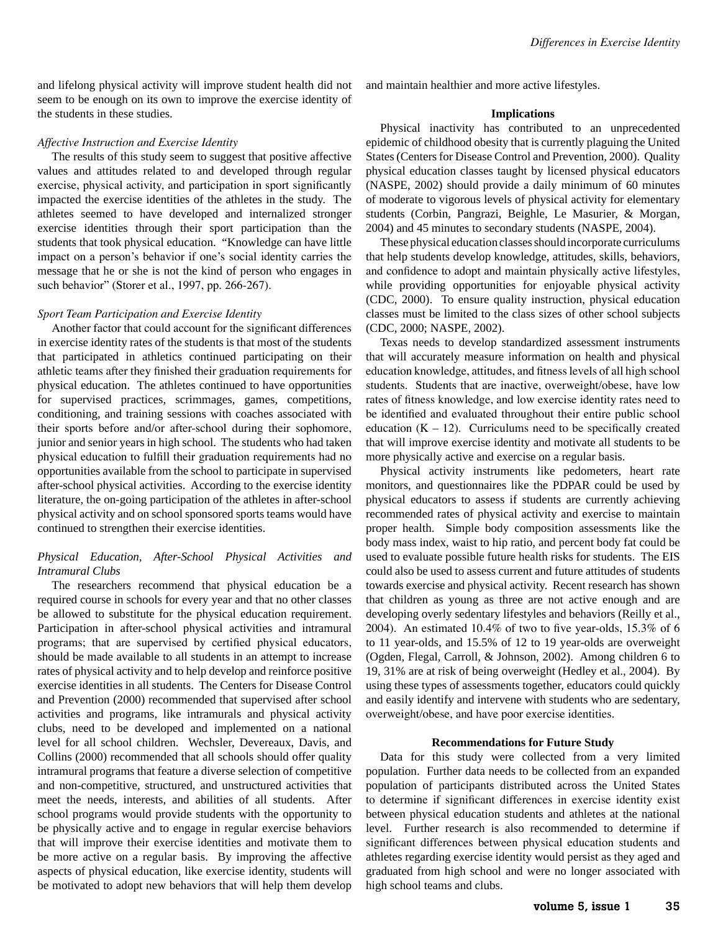and lifelong physical activity will improve student health did not seem to be enough on its own to improve the exercise identity of the students in these studies.

#### *Affective Instruction and Exercise Identity*

The results of this study seem to suggest that positive affective values and attitudes related to and developed through regular exercise, physical activity, and participation in sport significantly impacted the exercise identities of the athletes in the study. The athletes seemed to have developed and internalized stronger exercise identities through their sport participation than the students that took physical education. "Knowledge can have little impact on a person's behavior if one's social identity carries the message that he or she is not the kind of person who engages in such behavior" (Storer et al., 1997, pp. 266-267).

### *Sport Team Participation and Exercise Identity*

Another factor that could account for the significant differences in exercise identity rates of the students is that most of the students that participated in athletics continued participating on their athletic teams after they finished their graduation requirements for physical education. The athletes continued to have opportunities for supervised practices, scrimmages, games, competitions, conditioning, and training sessions with coaches associated with their sports before and/or after-school during their sophomore, junior and senior years in high school. The students who had taken physical education to fulfill their graduation requirements had no opportunities available from the school to participate in supervised after-school physical activities. According to the exercise identity literature, the on-going participation of the athletes in after-school physical activity and on school sponsored sports teams would have continued to strengthen their exercise identities.

## *Physical Education, After-School Physical Activities and Intramural Clubs*

The researchers recommend that physical education be a required course in schools for every year and that no other classes be allowed to substitute for the physical education requirement. Participation in after-school physical activities and intramural programs; that are supervised by certified physical educators, should be made available to all students in an attempt to increase rates of physical activity and to help develop and reinforce positive exercise identities in all students. The Centers for Disease Control and Prevention (2000) recommended that supervised after school activities and programs, like intramurals and physical activity clubs, need to be developed and implemented on a national level for all school children. Wechsler, Devereaux, Davis, and Collins (2000) recommended that all schools should offer quality intramural programs that feature a diverse selection of competitive and non-competitive, structured, and unstructured activities that meet the needs, interests, and abilities of all students. After school programs would provide students with the opportunity to be physically active and to engage in regular exercise behaviors that will improve their exercise identities and motivate them to be more active on a regular basis. By improving the affective aspects of physical education, like exercise identity, students will be motivated to adopt new behaviors that will help them develop

and maintain healthier and more active lifestyles.

#### **Implications**

Physical inactivity has contributed to an unprecedented epidemic of childhood obesity that is currently plaguing the United States (Centers for Disease Control and Prevention, 2000). Quality physical education classes taught by licensed physical educators (NASPE, 2002) should provide a daily minimum of 60 minutes of moderate to vigorous levels of physical activity for elementary students (Corbin, Pangrazi, Beighle, Le Masurier, & Morgan, 2004) and 45 minutes to secondary students (NASPE, 2004).

These physical education classes should incorporate curriculums that help students develop knowledge, attitudes, skills, behaviors, and confidence to adopt and maintain physically active lifestyles, while providing opportunities for enjoyable physical activity (CDC, 2000). To ensure quality instruction, physical education classes must be limited to the class sizes of other school subjects (CDC, 2000; NASPE, 2002).

Texas needs to develop standardized assessment instruments that will accurately measure information on health and physical education knowledge, attitudes, and fitness levels of all high school students. Students that are inactive, overweight/obese, have low rates of fitness knowledge, and low exercise identity rates need to be identified and evaluated throughout their entire public school education  $(K - 12)$ . Curriculums need to be specifically created that will improve exercise identity and motivate all students to be more physically active and exercise on a regular basis.

Physical activity instruments like pedometers, heart rate monitors, and questionnaires like the PDPAR could be used by physical educators to assess if students are currently achieving recommended rates of physical activity and exercise to maintain proper health. Simple body composition assessments like the body mass index, waist to hip ratio, and percent body fat could be used to evaluate possible future health risks for students. The EIS could also be used to assess current and future attitudes of students towards exercise and physical activity. Recent research has shown that children as young as three are not active enough and are developing overly sedentary lifestyles and behaviors (Reilly et al., 2004). An estimated 10.4% of two to five year-olds, 15.3% of 6 to 11 year-olds, and 15.5% of 12 to 19 year-olds are overweight (Ogden, Flegal, Carroll, & Johnson, 2002). Among children 6 to 19, 31% are at risk of being overweight (Hedley et al., 2004). By using these types of assessments together, educators could quickly and easily identify and intervene with students who are sedentary, overweight/obese, and have poor exercise identities.

#### **Recommendations for Future Study**

Data for this study were collected from a very limited population. Further data needs to be collected from an expanded population of participants distributed across the United States to determine if significant differences in exercise identity exist between physical education students and athletes at the national level. Further research is also recommended to determine if significant differences between physical education students and athletes regarding exercise identity would persist as they aged and graduated from high school and were no longer associated with high school teams and clubs.